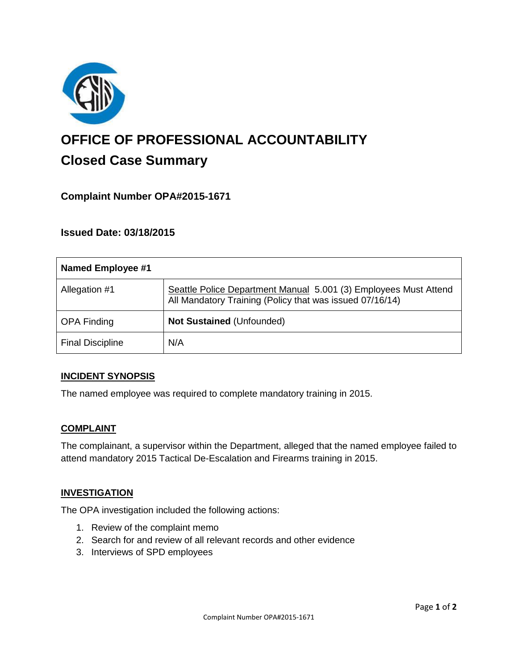

# **OFFICE OF PROFESSIONAL ACCOUNTABILITY Closed Case Summary**

## **Complaint Number OPA#2015-1671**

## **Issued Date: 03/18/2015**

| <b>Named Employee #1</b> |                                                                                                                              |
|--------------------------|------------------------------------------------------------------------------------------------------------------------------|
| Allegation #1            | Seattle Police Department Manual 5.001 (3) Employees Must Attend<br>All Mandatory Training (Policy that was issued 07/16/14) |
| <b>OPA Finding</b>       | Not Sustained (Unfounded)                                                                                                    |
| <b>Final Discipline</b>  | N/A                                                                                                                          |

#### **INCIDENT SYNOPSIS**

The named employee was required to complete mandatory training in 2015.

#### **COMPLAINT**

The complainant, a supervisor within the Department, alleged that the named employee failed to attend mandatory 2015 Tactical De-Escalation and Firearms training in 2015.

#### **INVESTIGATION**

The OPA investigation included the following actions:

- 1. Review of the complaint memo
- 2. Search for and review of all relevant records and other evidence
- 3. Interviews of SPD employees